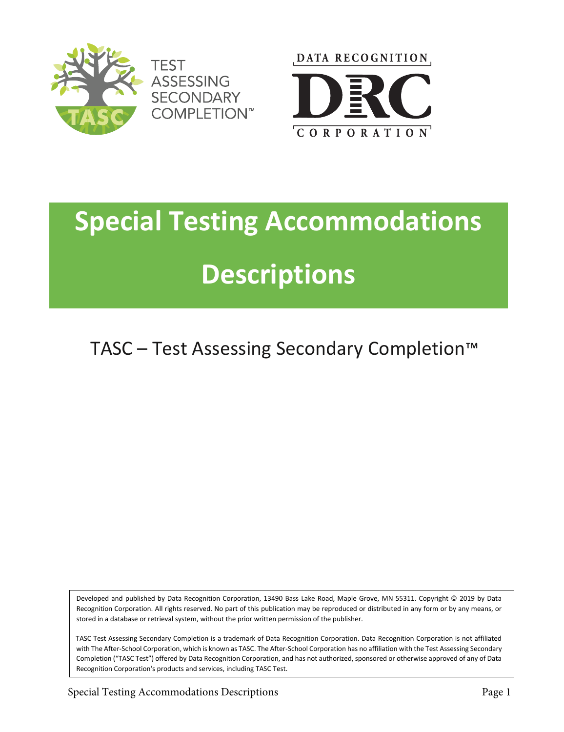



## **Special Testing Accommodations Descriptions**

TASC – Test Assessing Secondary Completion™

Developed and published by Data Recognition Corporation, 13490 Bass Lake Road, Maple Grove, MN 55311. Copyright © 2019 by Data Recognition Corporation. All rights reserved. No part of this publication may be reproduced or distributed in any form or by any means, or stored in a database or retrieval system, without the prior written permission of the publisher.

TASC Test Assessing Secondary Completion is a trademark of Data Recognition Corporation. Data Recognition Corporation is not affiliated with The After-School Corporation, which is known as TASC. The After-School Corporation has no affiliation with the Test Assessing Secondary Completion ("TASC Test") offered by Data Recognition Corporation, and has not authorized, sponsored or otherwise approved of any of Data Recognition Corporation's products and services, including TASC Test.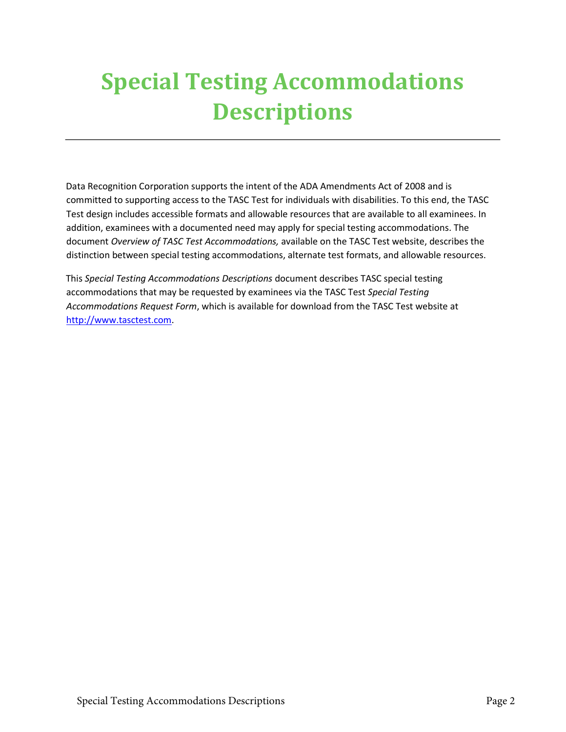## **Special Testing Accommodations Descriptions**

Data Recognition Corporation supports the intent of the ADA Amendments Act of 2008 and is committed to supporting access to the TASC Test for individuals with disabilities. To this end, the TASC Test design includes accessible formats and allowable resources that are available to all examinees. In addition, examinees with a documented need may apply for special testing accommodations. The document *Overview of TASC Test Accommodations,* available on the TASC Test website, describes the distinction between special testing accommodations, alternate test formats, and allowable resources.

This *Special Testing Accommodations Descriptions* document describes TASC special testing accommodations that may be requested by examinees via the TASC Test *Special Testing Accommodations Request Form*, which is available for download from the TASC Test website at [http://www.tasctest.com.](http://www.tasctest.com/)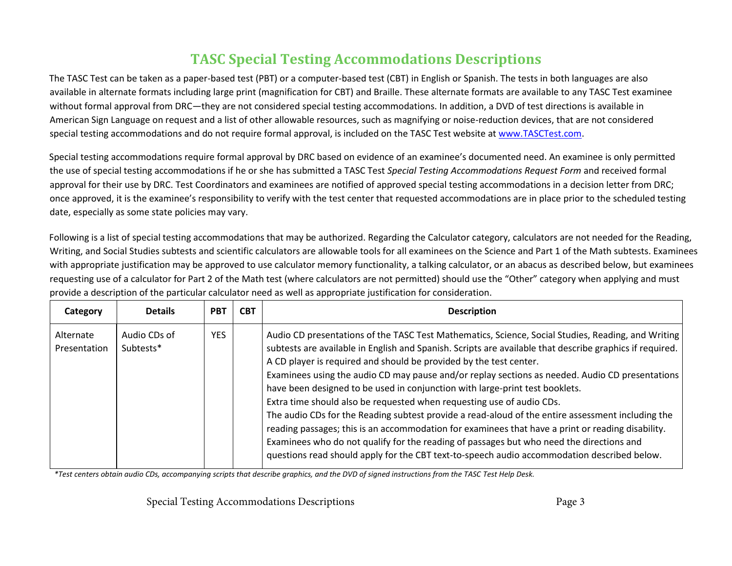## **TASC Special Testing Accommodations Descriptions**

The TASC Test can be taken as a paper-based test (PBT) or a computer-based test (CBT) in English or Spanish. The tests in both languages are also available in alternate formats including large print (magnification for CBT) and Braille. These alternate formats are available to any TASC Test examinee without formal approval from DRC—they are not considered special testing accommodations. In addition, a DVD of test directions is available in American Sign Language on request and a list of other allowable resources, such as magnifying or noise-reduction devices, that are not considered special testing accommodations and do not require formal approval, is included on the TASC Te[st website at www.TASC](http://www.tasctest.com/)Test.com.

Special testing accommodations require formal approval by DRC based on evidence of an examinee's documented need. An examinee is only permitted the use of special testing accommodations if he or she has submitted a TASC Test *Special Testing Accommodations Request Form* and received formal approval for their use by DRC. Test Coordinators and examinees are notified of approved special testing accommodations in a decision letter from DRC; once approved, it is the examinee's responsibility to verify with the test center that requested accommodations are in place prior to the scheduled testing date, especially as some state policies may vary.

Following is a list of special testing accommodations that may be authorized. Regarding the Calculator category, calculators are not needed for the Reading, Writing, and Social Studies subtests and scientific calculators are allowable tools for all examinees on the Science and Part 1 of the Math subtests. Examinees with appropriate justification may be approved to use calculator memory functionality, a talking calculator, or an abacus as described below, but examinees requesting use of a calculator for Part 2 of the Math test (where calculators are not permitted) should use the "Other" category when applying and must provide a description of the particular calculator need as well as appropriate justification for consideration.

| Category                  | <b>Details</b>            | <b>PBT</b> | <b>CBT</b> | <b>Description</b>                                                                                                                                                                                                                                                                                                                                                                                                                                                                                                                                                                                                                                                                                                                                                                                                                                                                                                                                    |
|---------------------------|---------------------------|------------|------------|-------------------------------------------------------------------------------------------------------------------------------------------------------------------------------------------------------------------------------------------------------------------------------------------------------------------------------------------------------------------------------------------------------------------------------------------------------------------------------------------------------------------------------------------------------------------------------------------------------------------------------------------------------------------------------------------------------------------------------------------------------------------------------------------------------------------------------------------------------------------------------------------------------------------------------------------------------|
| Alternate<br>Presentation | Audio CDs of<br>Subtests* | <b>YES</b> |            | Audio CD presentations of the TASC Test Mathematics, Science, Social Studies, Reading, and Writing<br>subtests are available in English and Spanish. Scripts are available that describe graphics if required.<br>A CD player is required and should be provided by the test center.<br>Examinees using the audio CD may pause and/or replay sections as needed. Audio CD presentations<br>have been designed to be used in conjunction with large-print test booklets.<br>Extra time should also be requested when requesting use of audio CDs.<br>The audio CDs for the Reading subtest provide a read-aloud of the entire assessment including the<br>reading passages; this is an accommodation for examinees that have a print or reading disability.<br>Examinees who do not qualify for the reading of passages but who need the directions and<br>questions read should apply for the CBT text-to-speech audio accommodation described below. |

*\*Test centers obtain audio CDs, accompanying scripts that describe graphics, and the DVD of signed instructions from the TASC Test Help Desk.*

Special Testing Accommodations Descriptions **Page 3** Page 3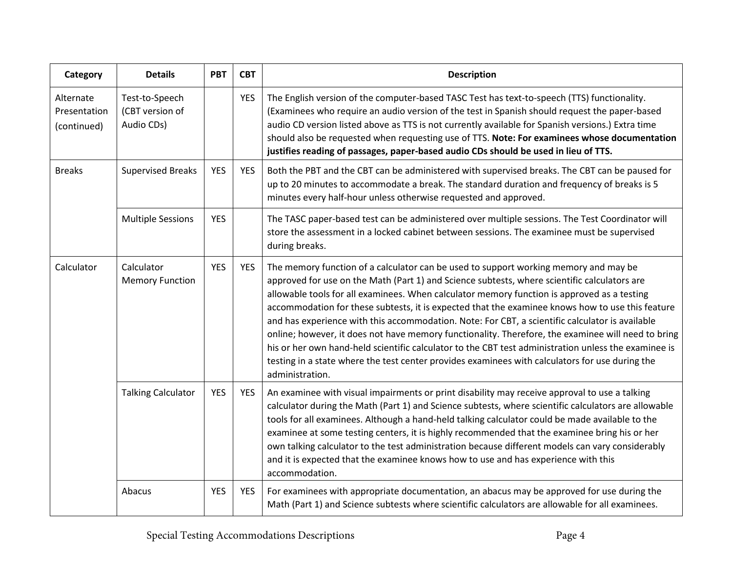| Category                                 | <b>Details</b>                                  | <b>PBT</b> | <b>CBT</b> | <b>Description</b>                                                                                                                                                                                                                                                                                                                                                                                                                                                                                                                                                                                                                                                                                                                                                                                                             |
|------------------------------------------|-------------------------------------------------|------------|------------|--------------------------------------------------------------------------------------------------------------------------------------------------------------------------------------------------------------------------------------------------------------------------------------------------------------------------------------------------------------------------------------------------------------------------------------------------------------------------------------------------------------------------------------------------------------------------------------------------------------------------------------------------------------------------------------------------------------------------------------------------------------------------------------------------------------------------------|
| Alternate<br>Presentation<br>(continued) | Test-to-Speech<br>(CBT version of<br>Audio CDs) |            | <b>YES</b> | The English version of the computer-based TASC Test has text-to-speech (TTS) functionality.<br>(Examinees who require an audio version of the test in Spanish should request the paper-based<br>audio CD version listed above as TTS is not currently available for Spanish versions.) Extra time<br>should also be requested when requesting use of TTS. Note: For examinees whose documentation<br>justifies reading of passages, paper-based audio CDs should be used in lieu of TTS.                                                                                                                                                                                                                                                                                                                                       |
| <b>Breaks</b>                            | <b>Supervised Breaks</b>                        | <b>YES</b> | <b>YES</b> | Both the PBT and the CBT can be administered with supervised breaks. The CBT can be paused for<br>up to 20 minutes to accommodate a break. The standard duration and frequency of breaks is 5<br>minutes every half-hour unless otherwise requested and approved.                                                                                                                                                                                                                                                                                                                                                                                                                                                                                                                                                              |
|                                          | <b>Multiple Sessions</b>                        | <b>YES</b> |            | The TASC paper-based test can be administered over multiple sessions. The Test Coordinator will<br>store the assessment in a locked cabinet between sessions. The examinee must be supervised<br>during breaks.                                                                                                                                                                                                                                                                                                                                                                                                                                                                                                                                                                                                                |
| Calculator                               | Calculator<br><b>Memory Function</b>            | <b>YES</b> | <b>YES</b> | The memory function of a calculator can be used to support working memory and may be<br>approved for use on the Math (Part 1) and Science subtests, where scientific calculators are<br>allowable tools for all examinees. When calculator memory function is approved as a testing<br>accommodation for these subtests, it is expected that the examinee knows how to use this feature<br>and has experience with this accommodation. Note: For CBT, a scientific calculator is available<br>online; however, it does not have memory functionality. Therefore, the examinee will need to bring<br>his or her own hand-held scientific calculator to the CBT test administration unless the examinee is<br>testing in a state where the test center provides examinees with calculators for use during the<br>administration. |
|                                          | <b>Talking Calculator</b>                       | <b>YES</b> | <b>YES</b> | An examinee with visual impairments or print disability may receive approval to use a talking<br>calculator during the Math (Part 1) and Science subtests, where scientific calculators are allowable<br>tools for all examinees. Although a hand-held talking calculator could be made available to the<br>examinee at some testing centers, it is highly recommended that the examinee bring his or her<br>own talking calculator to the test administration because different models can vary considerably<br>and it is expected that the examinee knows how to use and has experience with this<br>accommodation.                                                                                                                                                                                                          |
|                                          | Abacus                                          | <b>YES</b> | <b>YES</b> | For examinees with appropriate documentation, an abacus may be approved for use during the<br>Math (Part 1) and Science subtests where scientific calculators are allowable for all examinees.                                                                                                                                                                                                                                                                                                                                                                                                                                                                                                                                                                                                                                 |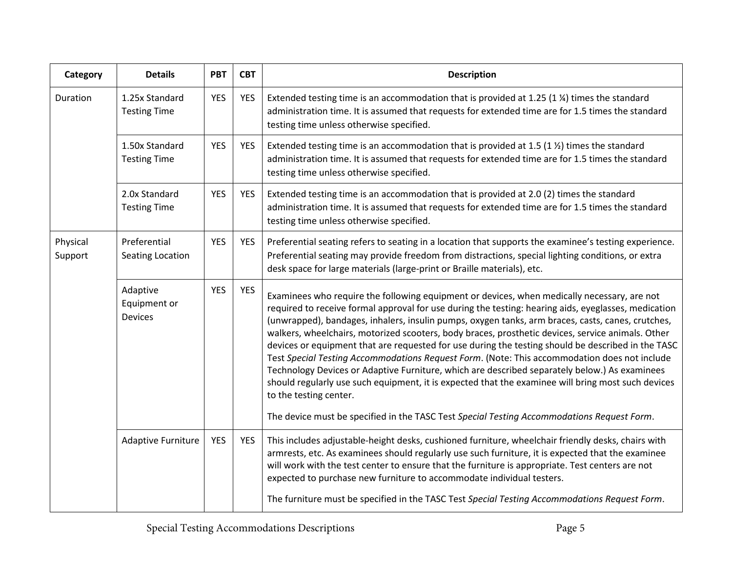| Category            | <b>Details</b>                             | <b>PBT</b> | <b>CBT</b> | <b>Description</b>                                                                                                                                                                                                                                                                                                                                                                                                                                                                                                                                                                                                                                                                                                                                                                                                                                                                                                                                 |
|---------------------|--------------------------------------------|------------|------------|----------------------------------------------------------------------------------------------------------------------------------------------------------------------------------------------------------------------------------------------------------------------------------------------------------------------------------------------------------------------------------------------------------------------------------------------------------------------------------------------------------------------------------------------------------------------------------------------------------------------------------------------------------------------------------------------------------------------------------------------------------------------------------------------------------------------------------------------------------------------------------------------------------------------------------------------------|
| Duration            | 1.25x Standard<br><b>Testing Time</b>      | <b>YES</b> | <b>YES</b> | Extended testing time is an accommodation that is provided at 1.25 (1 %) times the standard<br>administration time. It is assumed that requests for extended time are for 1.5 times the standard<br>testing time unless otherwise specified.                                                                                                                                                                                                                                                                                                                                                                                                                                                                                                                                                                                                                                                                                                       |
|                     | 1.50x Standard<br><b>Testing Time</b>      | <b>YES</b> | <b>YES</b> | Extended testing time is an accommodation that is provided at 1.5 (1 $\frac{1}{2}$ ) times the standard<br>administration time. It is assumed that requests for extended time are for 1.5 times the standard<br>testing time unless otherwise specified.                                                                                                                                                                                                                                                                                                                                                                                                                                                                                                                                                                                                                                                                                           |
|                     | 2.0x Standard<br><b>Testing Time</b>       | <b>YES</b> | <b>YES</b> | Extended testing time is an accommodation that is provided at 2.0 (2) times the standard<br>administration time. It is assumed that requests for extended time are for 1.5 times the standard<br>testing time unless otherwise specified.                                                                                                                                                                                                                                                                                                                                                                                                                                                                                                                                                                                                                                                                                                          |
| Physical<br>Support | Preferential<br>Seating Location           | <b>YES</b> | <b>YES</b> | Preferential seating refers to seating in a location that supports the examinee's testing experience.<br>Preferential seating may provide freedom from distractions, special lighting conditions, or extra<br>desk space for large materials (large-print or Braille materials), etc.                                                                                                                                                                                                                                                                                                                                                                                                                                                                                                                                                                                                                                                              |
|                     | Adaptive<br>Equipment or<br><b>Devices</b> | <b>YES</b> | <b>YES</b> | Examinees who require the following equipment or devices, when medically necessary, are not<br>required to receive formal approval for use during the testing: hearing aids, eyeglasses, medication<br>(unwrapped), bandages, inhalers, insulin pumps, oxygen tanks, arm braces, casts, canes, crutches,<br>walkers, wheelchairs, motorized scooters, body braces, prosthetic devices, service animals. Other<br>devices or equipment that are requested for use during the testing should be described in the TASC<br>Test Special Testing Accommodations Request Form. (Note: This accommodation does not include<br>Technology Devices or Adaptive Furniture, which are described separately below.) As examinees<br>should regularly use such equipment, it is expected that the examinee will bring most such devices<br>to the testing center.<br>The device must be specified in the TASC Test Special Testing Accommodations Request Form. |
|                     | <b>Adaptive Furniture</b>                  | <b>YES</b> | <b>YES</b> | This includes adjustable-height desks, cushioned furniture, wheelchair friendly desks, chairs with<br>armrests, etc. As examinees should regularly use such furniture, it is expected that the examinee<br>will work with the test center to ensure that the furniture is appropriate. Test centers are not<br>expected to purchase new furniture to accommodate individual testers.                                                                                                                                                                                                                                                                                                                                                                                                                                                                                                                                                               |
|                     |                                            |            |            | The furniture must be specified in the TASC Test Special Testing Accommodations Request Form.                                                                                                                                                                                                                                                                                                                                                                                                                                                                                                                                                                                                                                                                                                                                                                                                                                                      |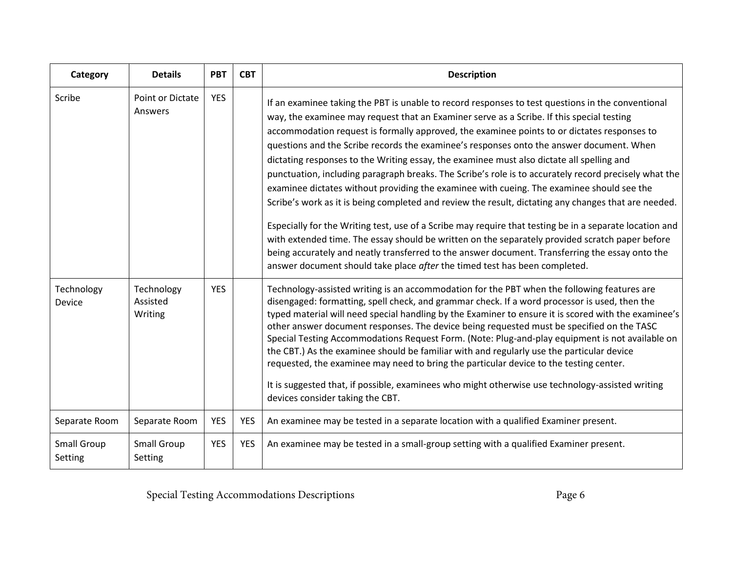| Category                      | <b>Details</b>                    | <b>PBT</b> | <b>CBT</b> | <b>Description</b>                                                                                                                                                                                                                                                                                                                                                                                                                                                                                                                                                                                                                                                                                                                                                                                                                                                                                                                                                                                                                                                                                                                                                                                  |
|-------------------------------|-----------------------------------|------------|------------|-----------------------------------------------------------------------------------------------------------------------------------------------------------------------------------------------------------------------------------------------------------------------------------------------------------------------------------------------------------------------------------------------------------------------------------------------------------------------------------------------------------------------------------------------------------------------------------------------------------------------------------------------------------------------------------------------------------------------------------------------------------------------------------------------------------------------------------------------------------------------------------------------------------------------------------------------------------------------------------------------------------------------------------------------------------------------------------------------------------------------------------------------------------------------------------------------------|
| Scribe                        | Point or Dictate<br>Answers       | <b>YES</b> |            | If an examinee taking the PBT is unable to record responses to test questions in the conventional<br>way, the examinee may request that an Examiner serve as a Scribe. If this special testing<br>accommodation request is formally approved, the examinee points to or dictates responses to<br>questions and the Scribe records the examinee's responses onto the answer document. When<br>dictating responses to the Writing essay, the examinee must also dictate all spelling and<br>punctuation, including paragraph breaks. The Scribe's role is to accurately record precisely what the<br>examinee dictates without providing the examinee with cueing. The examinee should see the<br>Scribe's work as it is being completed and review the result, dictating any changes that are needed.<br>Especially for the Writing test, use of a Scribe may require that testing be in a separate location and<br>with extended time. The essay should be written on the separately provided scratch paper before<br>being accurately and neatly transferred to the answer document. Transferring the essay onto the<br>answer document should take place after the timed test has been completed. |
| Technology<br>Device          | Technology<br>Assisted<br>Writing | <b>YES</b> |            | Technology-assisted writing is an accommodation for the PBT when the following features are<br>disengaged: formatting, spell check, and grammar check. If a word processor is used, then the<br>typed material will need special handling by the Examiner to ensure it is scored with the examinee's<br>other answer document responses. The device being requested must be specified on the TASC<br>Special Testing Accommodations Request Form. (Note: Plug-and-play equipment is not available on<br>the CBT.) As the examinee should be familiar with and regularly use the particular device<br>requested, the examinee may need to bring the particular device to the testing center.<br>It is suggested that, if possible, examinees who might otherwise use technology-assisted writing<br>devices consider taking the CBT.                                                                                                                                                                                                                                                                                                                                                                 |
| Separate Room                 | Separate Room                     | <b>YES</b> | <b>YES</b> | An examinee may be tested in a separate location with a qualified Examiner present.                                                                                                                                                                                                                                                                                                                                                                                                                                                                                                                                                                                                                                                                                                                                                                                                                                                                                                                                                                                                                                                                                                                 |
| <b>Small Group</b><br>Setting | <b>Small Group</b><br>Setting     | <b>YES</b> | <b>YES</b> | An examinee may be tested in a small-group setting with a qualified Examiner present.                                                                                                                                                                                                                                                                                                                                                                                                                                                                                                                                                                                                                                                                                                                                                                                                                                                                                                                                                                                                                                                                                                               |